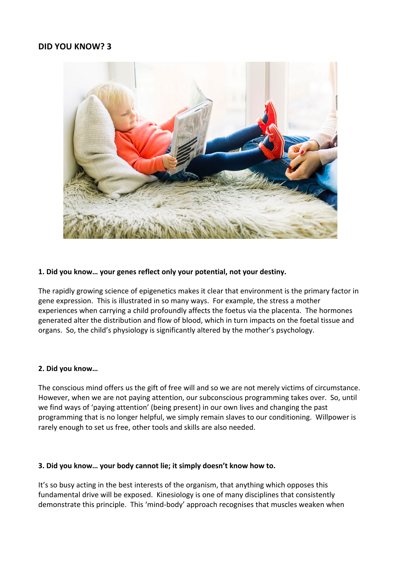# **DID YOU KNOW? 3**



### **1. Did you know… your genes reflect only your potential, not your destiny.**

The rapidly growing science of epigenetics makes it clear that environment is the primary factor in gene expression. This is illustrated in so many ways. For example, the stress a mother experiences when carrying a child profoundly affects the foetus via the placenta. The hormones generated alter the distribution and flow of blood, which in turn impacts on the foetal tissue and organs. So, the child's physiology is significantly altered by the mother's psychology.

#### **2. Did you know…**

The conscious mind offers us the gift of free will and so we are not merely victims of circumstance. However, when we are not paying attention, our subconscious programming takes over. So, until we find ways of 'paying attention' (being present) in our own lives and changing the past programming that is no longer helpful, we simply remain slaves to our conditioning. Willpower is rarely enough to set us free, other tools and skills are also needed.

#### **3. Did you know… your body cannot lie; it simply doesn't know how to.**

It's so busy acting in the best interests of the organism, that anything which opposes this fundamental drive will be exposed. Kinesiology is one of many disciplines that consistently demonstrate this principle. This 'mind-body' approach recognises that muscles weaken when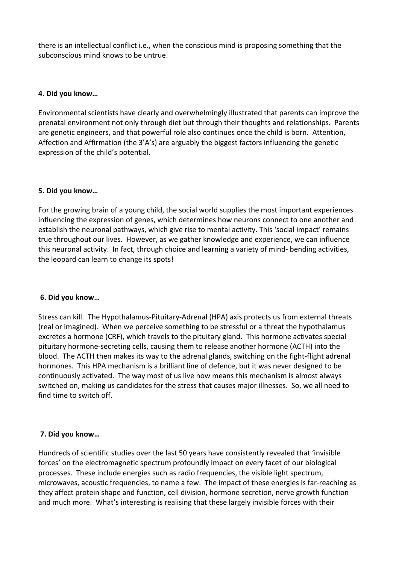there is an intellectual conflict i.e., when the conscious mind is proposing something that the subconscious mind knows to be untrue.

# **4. Did you know…**

Environmental scientists have clearly and overwhelmingly illustrated that parents can improve the prenatal environment not only through diet but through their thoughts and relationships. Parents are genetic engineers, and that powerful role also continues once the child is born. Attention, Affection and Affirmation (the 3'A's) are arguably the biggest factors influencing the genetic expression of the child's potential.

# **5. Did you know…**

For the growing brain of a young child, the social world supplies the most important experiences influencing the expression of genes, which determines how neurons connect to one another and establish the neuronal pathways, which give rise to mental activity. This 'social impact' remains true throughout our lives. However, as we gather knowledge and experience, we can influence this neuronal activity. In fact, through choice and learning a variety of mind- bending activities, the leopard can learn to change its spots!

### **6. Did you know…**

Stress can kill. The Hypothalamus-Pituitary-Adrenal (HPA) axis protects us from external threats (real or imagined). When we perceive something to be stressful or a threat the hypothalamus excretes a hormone (CRF), which travels to the pituitary gland. This hormone activates special pituitary hormone-secreting cells, causing them to release another hormone (ACTH) into the blood. The ACTH then makes its way to the adrenal glands, switching on the fight-flight adrenal hormones. This HPA mechanism is a brilliant line of defence, but it was never designed to be continuously activated. The way most of us live now means this mechanism is almost always switched on, making us candidates for the stress that causes major illnesses. So, we all need to find time to switch off.

### **7. Did you know…**

Hundreds of scientific studies over the last 50 years have consistently revealed that 'invisible forces' on the electromagnetic spectrum profoundly impact on every facet of our biological processes. These include energies such as radio frequencies, the visible light spectrum, microwaves, acoustic frequencies, to name a few. The impact of these energies is far-reaching as they affect protein shape and function, cell division, hormone secretion, nerve growth function and much more. What's interesting is realising that these largely invisible forces with their